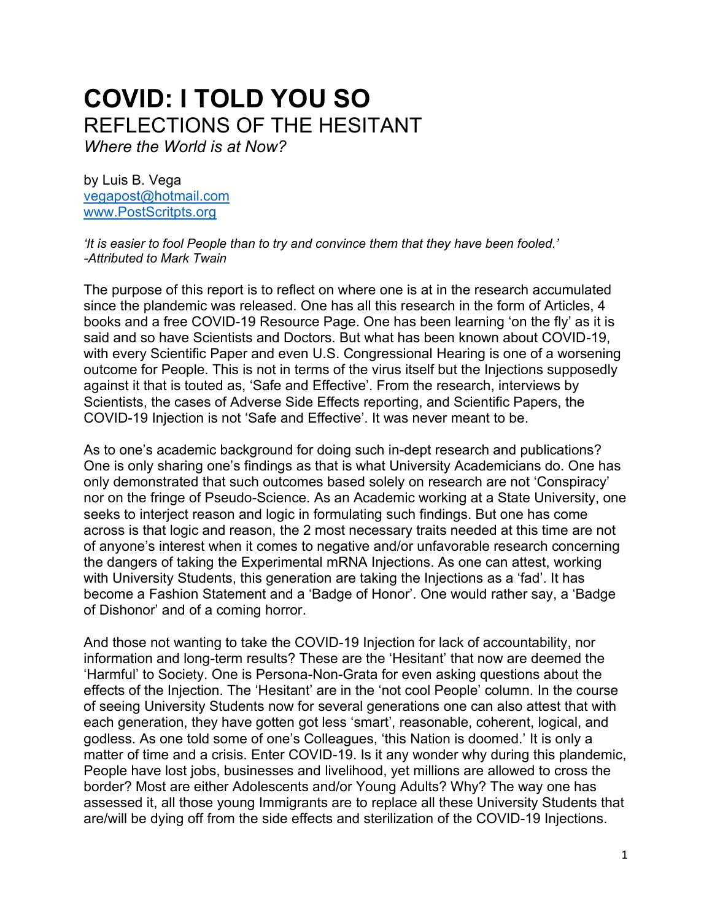# **COVID: I TOLD YOU SO** REFLECTIONS OF THE HESITANT

*Where the World is at Now?*

by Luis B. Vega [vegapost@hotmail.com](mailto:vegapost@hotmail.com) [www.PostScritpts.org](http://www.postscritpts.org/)

*'It is easier to fool People than to try and convince them that they have been fooled.' -Attributed to Mark Twain*

The purpose of this report is to reflect on where one is at in the research accumulated since the plandemic was released. One has all this research in the form of Articles, 4 books and a free COVID-19 Resource Page. One has been learning 'on the fly' as it is said and so have Scientists and Doctors. But what has been known about COVID-19, with every Scientific Paper and even U.S. Congressional Hearing is one of a worsening outcome for People. This is not in terms of the virus itself but the Injections supposedly against it that is touted as, 'Safe and Effective'. From the research, interviews by Scientists, the cases of Adverse Side Effects reporting, and Scientific Papers, the COVID-19 Injection is not 'Safe and Effective'. It was never meant to be.

As to one's academic background for doing such in-dept research and publications? One is only sharing one's findings as that is what University Academicians do. One has only demonstrated that such outcomes based solely on research are not 'Conspiracy' nor on the fringe of Pseudo-Science. As an Academic working at a State University, one seeks to interject reason and logic in formulating such findings. But one has come across is that logic and reason, the 2 most necessary traits needed at this time are not of anyone's interest when it comes to negative and/or unfavorable research concerning the dangers of taking the Experimental mRNA Injections. As one can attest, working with University Students, this generation are taking the Injections as a 'fad'. It has become a Fashion Statement and a 'Badge of Honor'. One would rather say, a 'Badge of Dishonor' and of a coming horror.

And those not wanting to take the COVID-19 Injection for lack of accountability, nor information and long-term results? These are the 'Hesitant' that now are deemed the 'Harmful' to Society. One is Persona-Non-Grata for even asking questions about the effects of the Injection. The 'Hesitant' are in the 'not cool People' column. In the course of seeing University Students now for several generations one can also attest that with each generation, they have gotten got less 'smart', reasonable, coherent, logical, and godless. As one told some of one's Colleagues, 'this Nation is doomed.' It is only a matter of time and a crisis. Enter COVID-19. Is it any wonder why during this plandemic, People have lost jobs, businesses and livelihood, yet millions are allowed to cross the border? Most are either Adolescents and/or Young Adults? Why? The way one has assessed it, all those young Immigrants are to replace all these University Students that are/will be dying off from the side effects and sterilization of the COVID-19 Injections.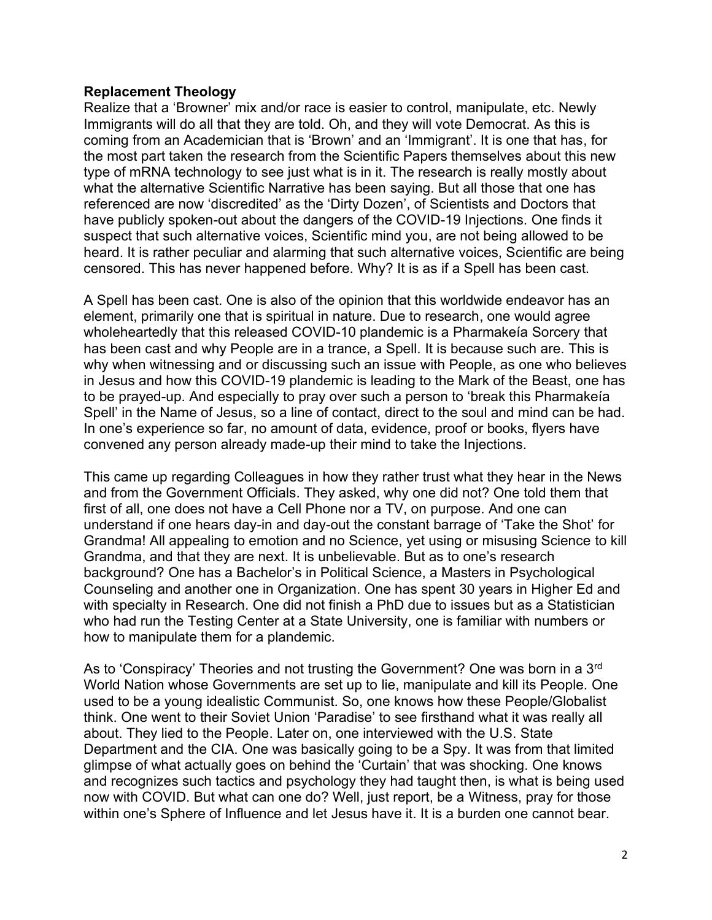### **Replacement Theology**

Realize that a 'Browner' mix and/or race is easier to control, manipulate, etc. Newly Immigrants will do all that they are told. Oh, and they will vote Democrat. As this is coming from an Academician that is 'Brown' and an 'Immigrant'. It is one that has, for the most part taken the research from the Scientific Papers themselves about this new type of mRNA technology to see just what is in it. The research is really mostly about what the alternative Scientific Narrative has been saying. But all those that one has referenced are now 'discredited' as the 'Dirty Dozen', of Scientists and Doctors that have publicly spoken-out about the dangers of the COVID-19 Injections. One finds it suspect that such alternative voices, Scientific mind you, are not being allowed to be heard. It is rather peculiar and alarming that such alternative voices, Scientific are being censored. This has never happened before. Why? It is as if a Spell has been cast.

A Spell has been cast. One is also of the opinion that this worldwide endeavor has an element, primarily one that is spiritual in nature. Due to research, one would agree wholeheartedly that this released COVID-10 plandemic is a Pharmakeía Sorcery that has been cast and why People are in a trance, a Spell. It is because such are. This is why when witnessing and or discussing such an issue with People, as one who believes in Jesus and how this COVID-19 plandemic is leading to the Mark of the Beast, one has to be prayed-up. And especially to pray over such a person to 'break this Pharmakeía Spell' in the Name of Jesus, so a line of contact, direct to the soul and mind can be had. In one's experience so far, no amount of data, evidence, proof or books, flyers have convened any person already made-up their mind to take the Injections.

This came up regarding Colleagues in how they rather trust what they hear in the News and from the Government Officials. They asked, why one did not? One told them that first of all, one does not have a Cell Phone nor a TV, on purpose. And one can understand if one hears day-in and day-out the constant barrage of 'Take the Shot' for Grandma! All appealing to emotion and no Science, yet using or misusing Science to kill Grandma, and that they are next. It is unbelievable. But as to one's research background? One has a Bachelor's in Political Science, a Masters in Psychological Counseling and another one in Organization. One has spent 30 years in Higher Ed and with specialty in Research. One did not finish a PhD due to issues but as a Statistician who had run the Testing Center at a State University, one is familiar with numbers or how to manipulate them for a plandemic.

As to 'Conspiracy' Theories and not trusting the Government? One was born in a 3rd World Nation whose Governments are set up to lie, manipulate and kill its People. One used to be a young idealistic Communist. So, one knows how these People/Globalist think. One went to their Soviet Union 'Paradise' to see firsthand what it was really all about. They lied to the People. Later on, one interviewed with the U.S. State Department and the CIA. One was basically going to be a Spy. It was from that limited glimpse of what actually goes on behind the 'Curtain' that was shocking. One knows and recognizes such tactics and psychology they had taught then, is what is being used now with COVID. But what can one do? Well, just report, be a Witness, pray for those within one's Sphere of Influence and let Jesus have it. It is a burden one cannot bear.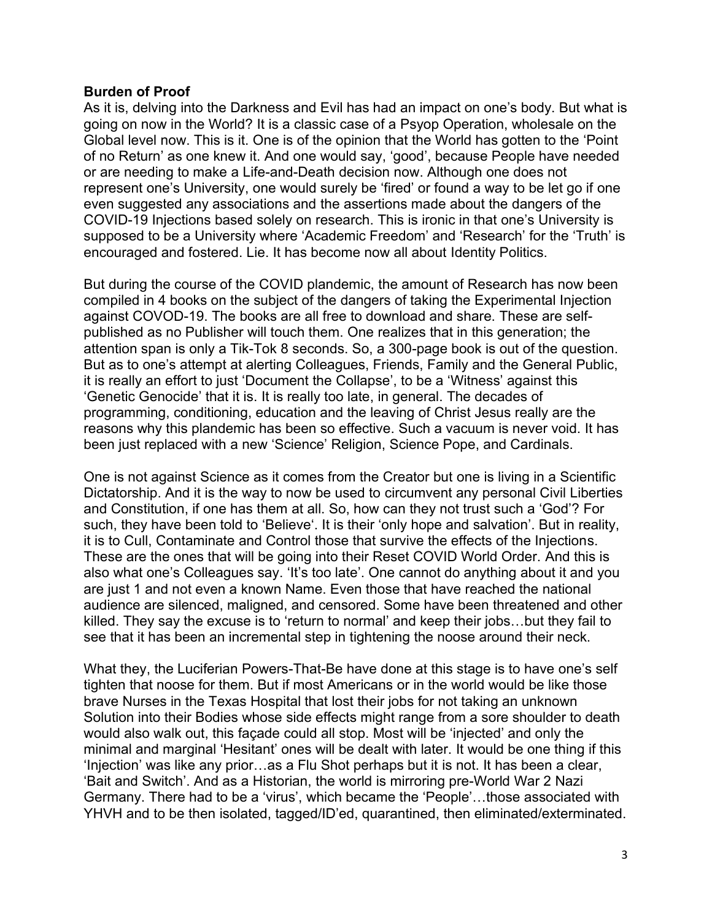#### **Burden of Proof**

As it is, delving into the Darkness and Evil has had an impact on one's body. But what is going on now in the World? It is a classic case of a Psyop Operation, wholesale on the Global level now. This is it. One is of the opinion that the World has gotten to the 'Point of no Return' as one knew it. And one would say, 'good', because People have needed or are needing to make a Life-and-Death decision now. Although one does not represent one's University, one would surely be 'fired' or found a way to be let go if one even suggested any associations and the assertions made about the dangers of the COVID-19 Injections based solely on research. This is ironic in that one's University is supposed to be a University where 'Academic Freedom' and 'Research' for the 'Truth' is encouraged and fostered. Lie. It has become now all about Identity Politics.

But during the course of the COVID plandemic, the amount of Research has now been compiled in 4 books on the subject of the dangers of taking the Experimental Injection against COVOD-19. The books are all free to download and share. These are selfpublished as no Publisher will touch them. One realizes that in this generation; the attention span is only a Tik-Tok 8 seconds. So, a 300-page book is out of the question. But as to one's attempt at alerting Colleagues, Friends, Family and the General Public, it is really an effort to just 'Document the Collapse', to be a 'Witness' against this 'Genetic Genocide' that it is. It is really too late, in general. The decades of programming, conditioning, education and the leaving of Christ Jesus really are the reasons why this plandemic has been so effective. Such a vacuum is never void. It has been just replaced with a new 'Science' Religion, Science Pope, and Cardinals.

One is not against Science as it comes from the Creator but one is living in a Scientific Dictatorship. And it is the way to now be used to circumvent any personal Civil Liberties and Constitution, if one has them at all. So, how can they not trust such a 'God'? For such, they have been told to 'Believe'. It is their 'only hope and salvation'. But in reality, it is to Cull, Contaminate and Control those that survive the effects of the Injections. These are the ones that will be going into their Reset COVID World Order. And this is also what one's Colleagues say. 'It's too late'. One cannot do anything about it and you are just 1 and not even a known Name. Even those that have reached the national audience are silenced, maligned, and censored. Some have been threatened and other killed. They say the excuse is to 'return to normal' and keep their jobs…but they fail to see that it has been an incremental step in tightening the noose around their neck.

What they, the Luciferian Powers-That-Be have done at this stage is to have one's self tighten that noose for them. But if most Americans or in the world would be like those brave Nurses in the Texas Hospital that lost their jobs for not taking an unknown Solution into their Bodies whose side effects might range from a sore shoulder to death would also walk out, this façade could all stop. Most will be 'injected' and only the minimal and marginal 'Hesitant' ones will be dealt with later. It would be one thing if this 'Injection' was like any prior…as a Flu Shot perhaps but it is not. It has been a clear, 'Bait and Switch'. And as a Historian, the world is mirroring pre-World War 2 Nazi Germany. There had to be a 'virus', which became the 'People'…those associated with YHVH and to be then isolated, tagged/ID'ed, quarantined, then eliminated/exterminated.